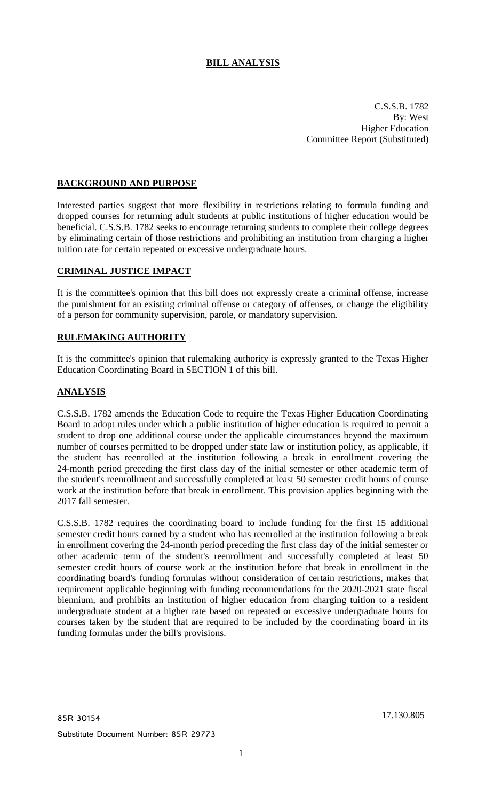# **BILL ANALYSIS**

C.S.S.B. 1782 By: West Higher Education Committee Report (Substituted)

# **BACKGROUND AND PURPOSE**

Interested parties suggest that more flexibility in restrictions relating to formula funding and dropped courses for returning adult students at public institutions of higher education would be beneficial. C.S.S.B. 1782 seeks to encourage returning students to complete their college degrees by eliminating certain of those restrictions and prohibiting an institution from charging a higher tuition rate for certain repeated or excessive undergraduate hours.

# **CRIMINAL JUSTICE IMPACT**

It is the committee's opinion that this bill does not expressly create a criminal offense, increase the punishment for an existing criminal offense or category of offenses, or change the eligibility of a person for community supervision, parole, or mandatory supervision.

#### **RULEMAKING AUTHORITY**

It is the committee's opinion that rulemaking authority is expressly granted to the Texas Higher Education Coordinating Board in SECTION 1 of this bill.

# **ANALYSIS**

C.S.S.B. 1782 amends the Education Code to require the Texas Higher Education Coordinating Board to adopt rules under which a public institution of higher education is required to permit a student to drop one additional course under the applicable circumstances beyond the maximum number of courses permitted to be dropped under state law or institution policy, as applicable, if the student has reenrolled at the institution following a break in enrollment covering the 24-month period preceding the first class day of the initial semester or other academic term of the student's reenrollment and successfully completed at least 50 semester credit hours of course work at the institution before that break in enrollment. This provision applies beginning with the 2017 fall semester.

C.S.S.B. 1782 requires the coordinating board to include funding for the first 15 additional semester credit hours earned by a student who has reenrolled at the institution following a break in enrollment covering the 24-month period preceding the first class day of the initial semester or other academic term of the student's reenrollment and successfully completed at least 50 semester credit hours of course work at the institution before that break in enrollment in the coordinating board's funding formulas without consideration of certain restrictions, makes that requirement applicable beginning with funding recommendations for the 2020-2021 state fiscal biennium, and prohibits an institution of higher education from charging tuition to a resident undergraduate student at a higher rate based on repeated or excessive undergraduate hours for courses taken by the student that are required to be included by the coordinating board in its funding formulas under the bill's provisions.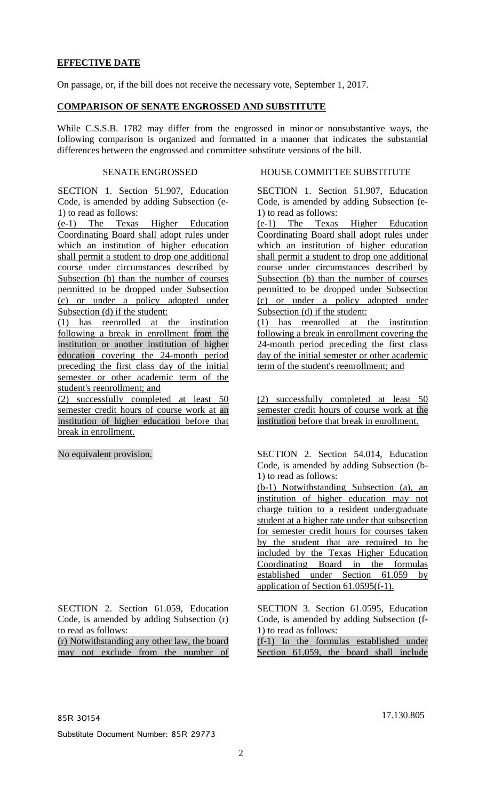# **EFFECTIVE DATE**

On passage, or, if the bill does not receive the necessary vote, September 1, 2017.

#### **COMPARISON OF SENATE ENGROSSED AND SUBSTITUTE**

While C.S.S.B. 1782 may differ from the engrossed in minor or nonsubstantive ways, the following comparison is organized and formatted in a manner that indicates the substantial differences between the engrossed and committee substitute versions of the bill.

SECTION 1. Section 51.907, Education Code, is amended by adding Subsection (e-1) to read as follows:

(e-1) The Texas Higher Education Coordinating Board shall adopt rules under which an institution of higher education shall permit a student to drop one additional course under circumstances described by Subsection (b) than the number of courses permitted to be dropped under Subsection (c) or under a policy adopted under Subsection (d) if the student:

(1) has reenrolled at the institution following a break in enrollment from the institution or another institution of higher education covering the 24-month period preceding the first class day of the initial semester or other academic term of the student's reenrollment; and

(2) successfully completed at least 50 semester credit hours of course work at an institution of higher education before that break in enrollment.

SECTION 2. Section 61.059, Education Code, is amended by adding Subsection (r) to read as follows:

(r) Notwithstanding any other law, the board may not exclude from the number of

#### SENATE ENGROSSED HOUSE COMMITTEE SUBSTITUTE

SECTION 1. Section 51.907, Education Code, is amended by adding Subsection (e-1) to read as follows:

(e-1) The Texas Higher Education Coordinating Board shall adopt rules under which an institution of higher education shall permit a student to drop one additional course under circumstances described by Subsection (b) than the number of courses permitted to be dropped under Subsection (c) or under a policy adopted under Subsection (d) if the student:

(1) has reenrolled at the institution following a break in enrollment covering the 24-month period preceding the first class day of the initial semester or other academic term of the student's reenrollment; and

(2) successfully completed at least 50 semester credit hours of course work at the institution before that break in enrollment.

No equivalent provision. SECTION 2. Section 54.014, Education Code, is amended by adding Subsection (b-1) to read as follows:

> (b-1) Notwithstanding Subsection (a), an institution of higher education may not charge tuition to a resident undergraduate student at a higher rate under that subsection for semester credit hours for courses taken by the student that are required to be included by the Texas Higher Education Coordinating Board in the formulas established under Section 61.059 by application of Section 61.0595(f-1).

> SECTION 3. Section 61.0595, Education Code, is amended by adding Subsection (f-1) to read as follows:

> (f-1) In the formulas established under Section 61.059, the board shall include

85R 30154 17.130.805

Substitute Document Number: 85R 29773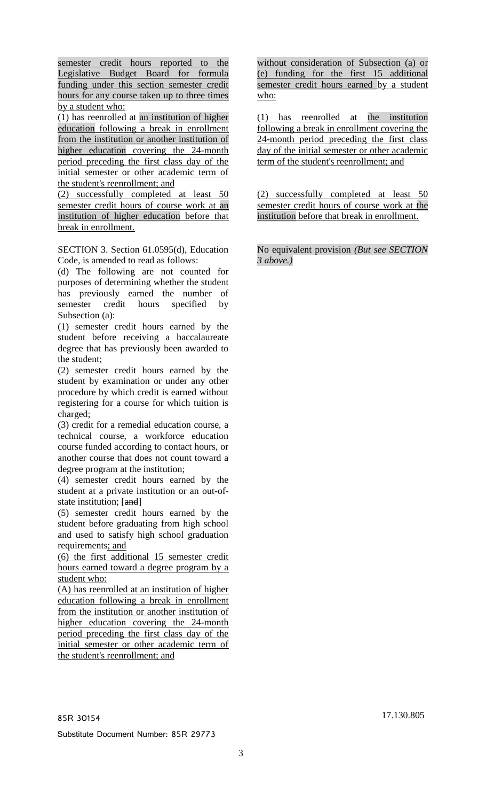semester credit hours reported to the Legislative Budget Board for formula funding under this section semester credit hours for any course taken up to three times by a student who:

(1) has reenrolled at an institution of higher education following a break in enrollment from the institution or another institution of higher education covering the 24-month period preceding the first class day of the initial semester or other academic term of the student's reenrollment; and

(2) successfully completed at least 50 semester credit hours of course work at an institution of higher education before that break in enrollment.

SECTION 3. Section 61.0595(d), Education Code, is amended to read as follows:

(d) The following are not counted for purposes of determining whether the student has previously earned the number of semester credit hours specified by Subsection (a):

(1) semester credit hours earned by the student before receiving a baccalaureate degree that has previously been awarded to the student;

(2) semester credit hours earned by the student by examination or under any other procedure by which credit is earned without registering for a course for which tuition is charged;

(3) credit for a remedial education course, a technical course, a workforce education course funded according to contact hours, or another course that does not count toward a degree program at the institution;

(4) semester credit hours earned by the student at a private institution or an out-ofstate institution; [and]

(5) semester credit hours earned by the student before graduating from high school and used to satisfy high school graduation requirements; and

(6) the first additional 15 semester credit hours earned toward a degree program by a student who:

(A) has reenrolled at an institution of higher education following a break in enrollment from the institution or another institution of higher education covering the 24-month period preceding the first class day of the initial semester or other academic term of the student's reenrollment; and

without consideration of Subsection (a) or (e) funding for the first 15 additional semester credit hours earned by a student who:

(1) has reenrolled at the institution following a break in enrollment covering the 24-month period preceding the first class day of the initial semester or other academic term of the student's reenrollment; and

(2) successfully completed at least 50 semester credit hours of course work at the institution before that break in enrollment.

No equivalent provision *(But see SECTION 3 above.)*

85R 30154 17.130.805

Substitute Document Number: 85R 29773